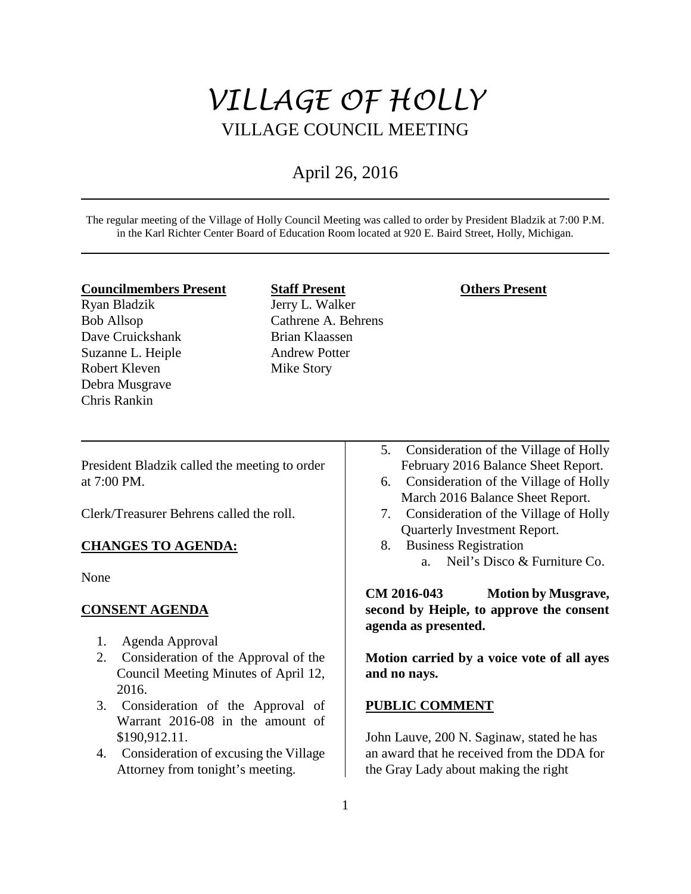# *VILLAGE OF HOLLY* VILLAGE COUNCIL MEETING

## April 26, 2016

The regular meeting of the Village of Holly Council Meeting was called to order by President Bladzik at 7:00 P.M. in the Karl Richter Center Board of Education Room located at 920 E. Baird Street, Holly, Michigan.

#### **Councilmembers Present**

Ryan Bladzik Bob Allsop Dave Cruickshank Suzanne L. Heiple Robert Kleven Debra Musgrave Chris Rankin

**Staff Present** Jerry L. Walker Cathrene A. Behrens Brian Klaassen Andrew Potter Mike Story

## **Others Present**

President Bladzik called the meeting to order at 7:00 PM.

Clerk/Treasurer Behrens called the roll.

## **CHANGES TO AGENDA:**

None

## **CONSENT AGENDA**

- 1. Agenda Approval
- 2. Consideration of the Approval of the Council Meeting Minutes of April 12, 2016.
- 3. Consideration of the Approval of Warrant 2016-08 in the amount of \$190,912.11.
- 4. Consideration of excusing the Village Attorney from tonight's meeting.
- 5. Consideration of the Village of Holly February 2016 Balance Sheet Report.
- 6. Consideration of the Village of Holly March 2016 Balance Sheet Report.
- 7. Consideration of the Village of Holly Quarterly Investment Report.
- 8. Business Registration
	- a. Neil's Disco & Furniture Co.

**CM 2016-043 Motion by Musgrave, second by Heiple, to approve the consent agenda as presented.** 

**Motion carried by a voice vote of all ayes and no nays.** 

#### **PUBLIC COMMENT**

John Lauve, 200 N. Saginaw, stated he has an award that he received from the DDA for the Gray Lady about making the right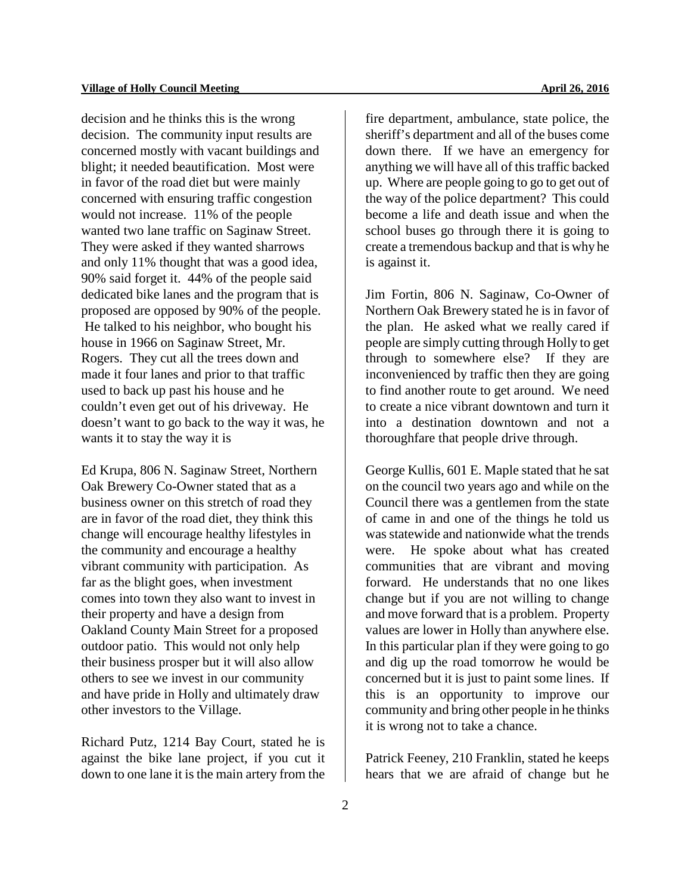decision and he thinks this is the wrong decision. The community input results are concerned mostly with vacant buildings and blight; it needed beautification. Most were in favor of the road diet but were mainly concerned with ensuring traffic congestion would not increase. 11% of the people wanted two lane traffic on Saginaw Street. They were asked if they wanted sharrows and only 11% thought that was a good idea, 90% said forget it. 44% of the people said dedicated bike lanes and the program that is proposed are opposed by 90% of the people. He talked to his neighbor, who bought his house in 1966 on Saginaw Street, Mr. Rogers. They cut all the trees down and made it four lanes and prior to that traffic used to back up past his house and he couldn't even get out of his driveway. He doesn't want to go back to the way it was, he wants it to stay the way it is

Ed Krupa, 806 N. Saginaw Street, Northern Oak Brewery Co-Owner stated that as a business owner on this stretch of road they are in favor of the road diet, they think this change will encourage healthy lifestyles in the community and encourage a healthy vibrant community with participation. As far as the blight goes, when investment comes into town they also want to invest in their property and have a design from Oakland County Main Street for a proposed outdoor patio. This would not only help their business prosper but it will also allow others to see we invest in our community and have pride in Holly and ultimately draw other investors to the Village.

Richard Putz, 1214 Bay Court, stated he is against the bike lane project, if you cut it down to one lane it is the main artery from the fire department, ambulance, state police, the sheriff's department and all of the buses come down there. If we have an emergency for anything we will have all of this traffic backed up. Where are people going to go to get out of the way of the police department? This could become a life and death issue and when the school buses go through there it is going to create a tremendous backup and that is why he is against it.

Jim Fortin, 806 N. Saginaw, Co-Owner of Northern Oak Brewery stated he is in favor of the plan. He asked what we really cared if people are simply cutting through Holly to get through to somewhere else? If they are inconvenienced by traffic then they are going to find another route to get around. We need to create a nice vibrant downtown and turn it into a destination downtown and not a thoroughfare that people drive through.

George Kullis, 601 E. Maple stated that he sat on the council two years ago and while on the Council there was a gentlemen from the state of came in and one of the things he told us was statewide and nationwide what the trends were. He spoke about what has created communities that are vibrant and moving forward. He understands that no one likes change but if you are not willing to change and move forward that is a problem. Property values are lower in Holly than anywhere else. In this particular plan if they were going to go and dig up the road tomorrow he would be concerned but it is just to paint some lines. If this is an opportunity to improve our community and bring other people in he thinks it is wrong not to take a chance.

Patrick Feeney, 210 Franklin, stated he keeps hears that we are afraid of change but he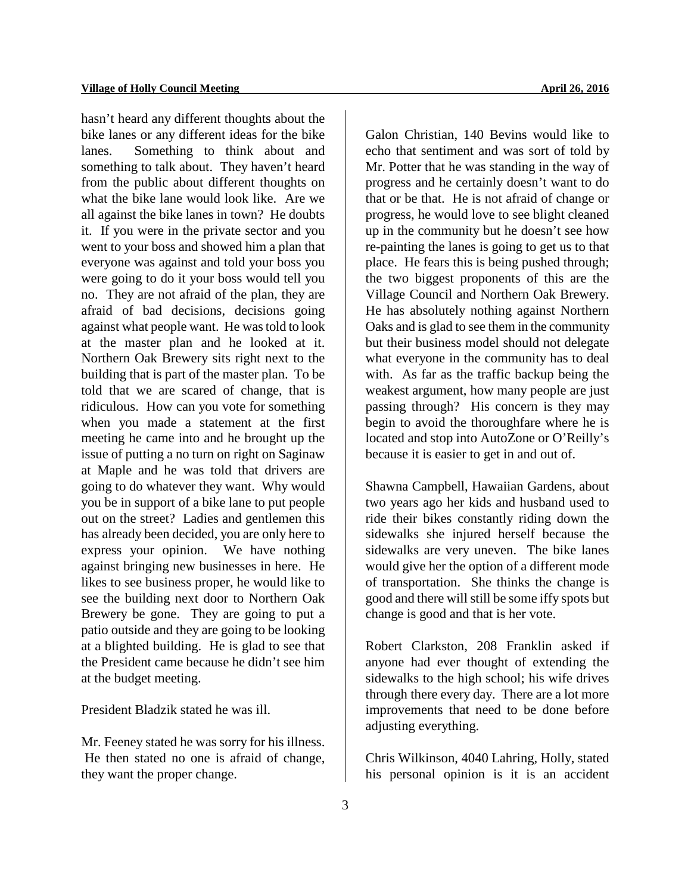hasn't heard any different thoughts about the bike lanes or any different ideas for the bike lanes. Something to think about and something to talk about. They haven't heard from the public about different thoughts on what the bike lane would look like. Are we all against the bike lanes in town? He doubts it. If you were in the private sector and you went to your boss and showed him a plan that everyone was against and told your boss you were going to do it your boss would tell you no. They are not afraid of the plan, they are afraid of bad decisions, decisions going against what people want. He was told to look at the master plan and he looked at it. Northern Oak Brewery sits right next to the building that is part of the master plan. To be told that we are scared of change, that is ridiculous. How can you vote for something when you made a statement at the first meeting he came into and he brought up the issue of putting a no turn on right on Saginaw at Maple and he was told that drivers are going to do whatever they want. Why would you be in support of a bike lane to put people out on the street? Ladies and gentlemen this has already been decided, you are only here to express your opinion. We have nothing against bringing new businesses in here. He likes to see business proper, he would like to see the building next door to Northern Oak Brewery be gone. They are going to put a patio outside and they are going to be looking at a blighted building. He is glad to see that the President came because he didn't see him at the budget meeting.

President Bladzik stated he was ill.

Mr. Feeney stated he was sorry for his illness. He then stated no one is afraid of change, they want the proper change.

Galon Christian, 140 Bevins would like to echo that sentiment and was sort of told by Mr. Potter that he was standing in the way of progress and he certainly doesn't want to do that or be that. He is not afraid of change or progress, he would love to see blight cleaned up in the community but he doesn't see how re-painting the lanes is going to get us to that place. He fears this is being pushed through; the two biggest proponents of this are the Village Council and Northern Oak Brewery. He has absolutely nothing against Northern Oaks and is glad to see them in the community but their business model should not delegate what everyone in the community has to deal with. As far as the traffic backup being the weakest argument, how many people are just passing through? His concern is they may begin to avoid the thoroughfare where he is located and stop into AutoZone or O'Reilly's because it is easier to get in and out of.

Shawna Campbell, Hawaiian Gardens, about two years ago her kids and husband used to ride their bikes constantly riding down the sidewalks she injured herself because the sidewalks are very uneven. The bike lanes would give her the option of a different mode of transportation. She thinks the change is good and there will still be some iffy spots but change is good and that is her vote.

Robert Clarkston, 208 Franklin asked if anyone had ever thought of extending the sidewalks to the high school; his wife drives through there every day. There are a lot more improvements that need to be done before adjusting everything.

Chris Wilkinson, 4040 Lahring, Holly, stated his personal opinion is it is an accident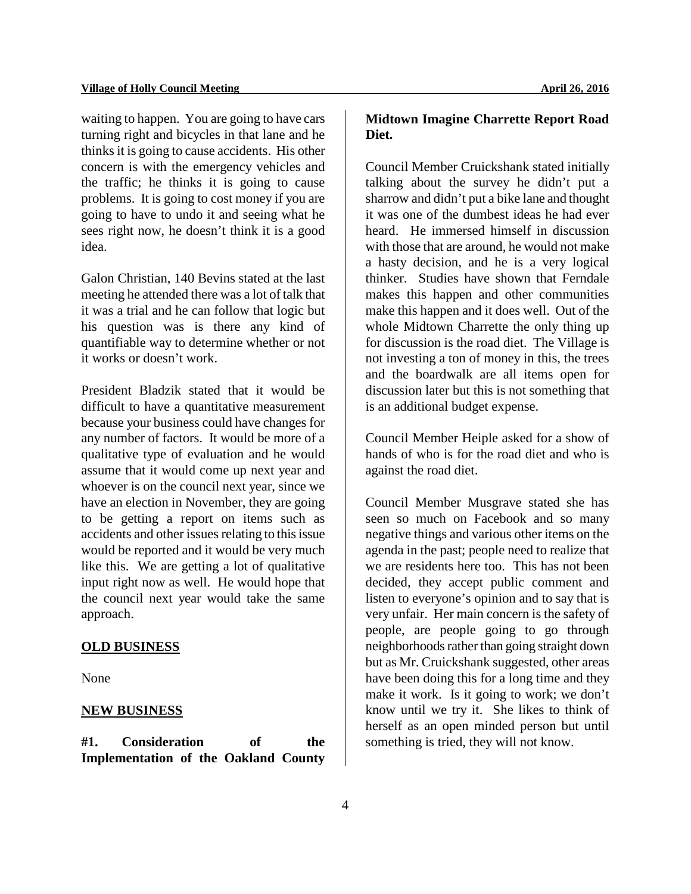waiting to happen. You are going to have cars turning right and bicycles in that lane and he thinks it is going to cause accidents. His other concern is with the emergency vehicles and the traffic; he thinks it is going to cause problems. It is going to cost money if you are going to have to undo it and seeing what he sees right now, he doesn't think it is a good idea.

Galon Christian, 140 Bevins stated at the last meeting he attended there was a lot of talk that it was a trial and he can follow that logic but his question was is there any kind of quantifiable way to determine whether or not it works or doesn't work.

President Bladzik stated that it would be difficult to have a quantitative measurement because your business could have changes for any number of factors. It would be more of a qualitative type of evaluation and he would assume that it would come up next year and whoever is on the council next year, since we have an election in November, they are going to be getting a report on items such as accidents and other issues relating to this issue would be reported and it would be very much like this. We are getting a lot of qualitative input right now as well. He would hope that the council next year would take the same approach.

## **OLD BUSINESS**

None

## **NEW BUSINESS**

**#1. Consideration of the Implementation of the Oakland County** 

## **Midtown Imagine Charrette Report Road Diet.**

Council Member Cruickshank stated initially talking about the survey he didn't put a sharrow and didn't put a bike lane and thought it was one of the dumbest ideas he had ever heard. He immersed himself in discussion with those that are around, he would not make a hasty decision, and he is a very logical thinker. Studies have shown that Ferndale makes this happen and other communities make this happen and it does well. Out of the whole Midtown Charrette the only thing up for discussion is the road diet. The Village is not investing a ton of money in this, the trees and the boardwalk are all items open for discussion later but this is not something that is an additional budget expense.

Council Member Heiple asked for a show of hands of who is for the road diet and who is against the road diet.

Council Member Musgrave stated she has seen so much on Facebook and so many negative things and various other items on the agenda in the past; people need to realize that we are residents here too. This has not been decided, they accept public comment and listen to everyone's opinion and to say that is very unfair. Her main concern is the safety of people, are people going to go through neighborhoods rather than going straight down but as Mr. Cruickshank suggested, other areas have been doing this for a long time and they make it work. Is it going to work; we don't know until we try it. She likes to think of herself as an open minded person but until something is tried, they will not know.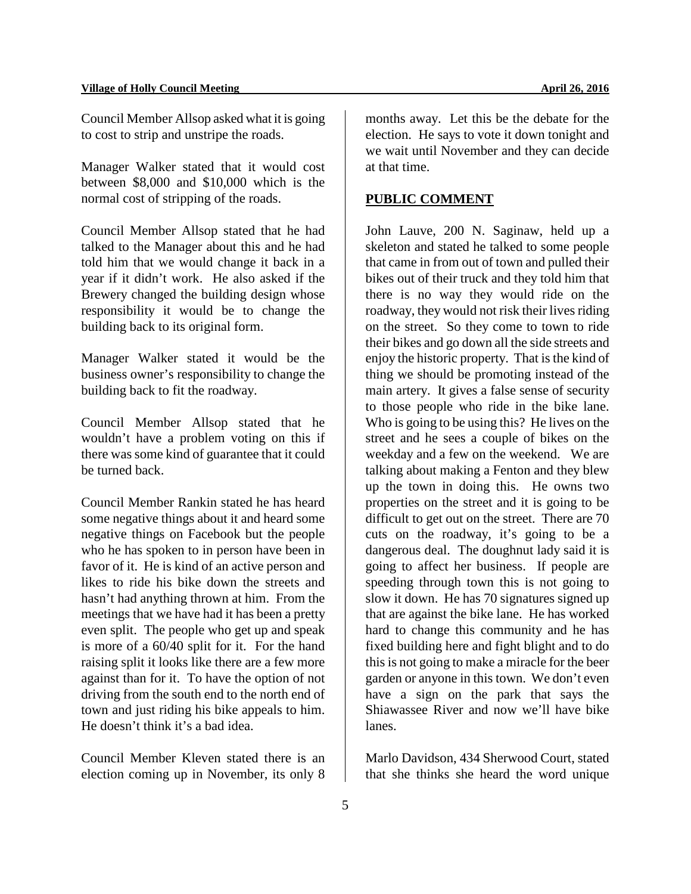Council Member Allsop asked what it is going to cost to strip and unstripe the roads.

Manager Walker stated that it would cost between \$8,000 and \$10,000 which is the normal cost of stripping of the roads.

Council Member Allsop stated that he had talked to the Manager about this and he had told him that we would change it back in a year if it didn't work. He also asked if the Brewery changed the building design whose responsibility it would be to change the building back to its original form.

Manager Walker stated it would be the business owner's responsibility to change the building back to fit the roadway.

Council Member Allsop stated that he wouldn't have a problem voting on this if there was some kind of guarantee that it could be turned back.

Council Member Rankin stated he has heard some negative things about it and heard some negative things on Facebook but the people who he has spoken to in person have been in favor of it. He is kind of an active person and likes to ride his bike down the streets and hasn't had anything thrown at him. From the meetings that we have had it has been a pretty even split. The people who get up and speak is more of a 60/40 split for it. For the hand raising split it looks like there are a few more against than for it. To have the option of not driving from the south end to the north end of town and just riding his bike appeals to him. He doesn't think it's a bad idea.

Council Member Kleven stated there is an election coming up in November, its only 8 months away. Let this be the debate for the election. He says to vote it down tonight and we wait until November and they can decide at that time.

## **PUBLIC COMMENT**

John Lauve, 200 N. Saginaw, held up a skeleton and stated he talked to some people that came in from out of town and pulled their bikes out of their truck and they told him that there is no way they would ride on the roadway, they would not risk their lives riding on the street. So they come to town to ride their bikes and go down all the side streets and enjoy the historic property. That is the kind of thing we should be promoting instead of the main artery. It gives a false sense of security to those people who ride in the bike lane. Who is going to be using this? He lives on the street and he sees a couple of bikes on the weekday and a few on the weekend. We are talking about making a Fenton and they blew up the town in doing this. He owns two properties on the street and it is going to be difficult to get out on the street. There are 70 cuts on the roadway, it's going to be a dangerous deal. The doughnut lady said it is going to affect her business. If people are speeding through town this is not going to slow it down. He has 70 signatures signed up that are against the bike lane. He has worked hard to change this community and he has fixed building here and fight blight and to do this is not going to make a miracle for the beer garden or anyone in this town. We don't even have a sign on the park that says the Shiawassee River and now we'll have bike lanes.

Marlo Davidson, 434 Sherwood Court, stated that she thinks she heard the word unique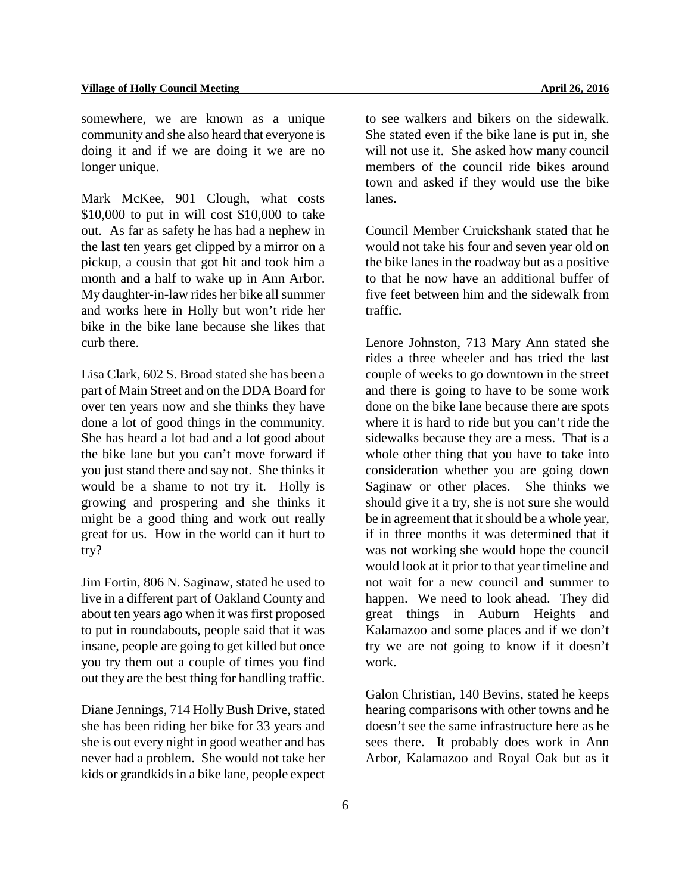#### **Village of Holly Council Meeting**   $\bullet$  2016

somewhere, we are known as a unique community and she also heard that everyone is doing it and if we are doing it we are no longer unique.

Mark McKee, 901 Clough, what costs \$10,000 to put in will cost \$10,000 to take out. As far as safety he has had a nephew in the last ten years get clipped by a mirror on a pickup, a cousin that got hit and took him a month and a half to wake up in Ann Arbor. My daughter-in-law rides her bike all summer and works here in Holly but won't ride her bike in the bike lane because she likes that curb there.

Lisa Clark, 602 S. Broad stated she has been a part of Main Street and on the DDA Board for over ten years now and she thinks they have done a lot of good things in the community. She has heard a lot bad and a lot good about the bike lane but you can't move forward if you just stand there and say not. She thinks it would be a shame to not try it. Holly is growing and prospering and she thinks it might be a good thing and work out really great for us. How in the world can it hurt to try?

Jim Fortin, 806 N. Saginaw, stated he used to live in a different part of Oakland County and about ten years ago when it was first proposed to put in roundabouts, people said that it was insane, people are going to get killed but once you try them out a couple of times you find out they are the best thing for handling traffic.

Diane Jennings, 714 Holly Bush Drive, stated she has been riding her bike for 33 years and she is out every night in good weather and has never had a problem. She would not take her kids or grandkids in a bike lane, people expect

to see walkers and bikers on the sidewalk. She stated even if the bike lane is put in, she will not use it. She asked how many council members of the council ride bikes around town and asked if they would use the bike lanes.

Council Member Cruickshank stated that he would not take his four and seven year old on the bike lanes in the roadway but as a positive to that he now have an additional buffer of five feet between him and the sidewalk from traffic.

Lenore Johnston, 713 Mary Ann stated she rides a three wheeler and has tried the last couple of weeks to go downtown in the street and there is going to have to be some work done on the bike lane because there are spots where it is hard to ride but you can't ride the sidewalks because they are a mess. That is a whole other thing that you have to take into consideration whether you are going down Saginaw or other places. She thinks we should give it a try, she is not sure she would be in agreement that it should be a whole year, if in three months it was determined that it was not working she would hope the council would look at it prior to that year timeline and not wait for a new council and summer to happen. We need to look ahead. They did great things in Auburn Heights and Kalamazoo and some places and if we don't try we are not going to know if it doesn't work.

Galon Christian, 140 Bevins, stated he keeps hearing comparisons with other towns and he doesn't see the same infrastructure here as he sees there. It probably does work in Ann Arbor, Kalamazoo and Royal Oak but as it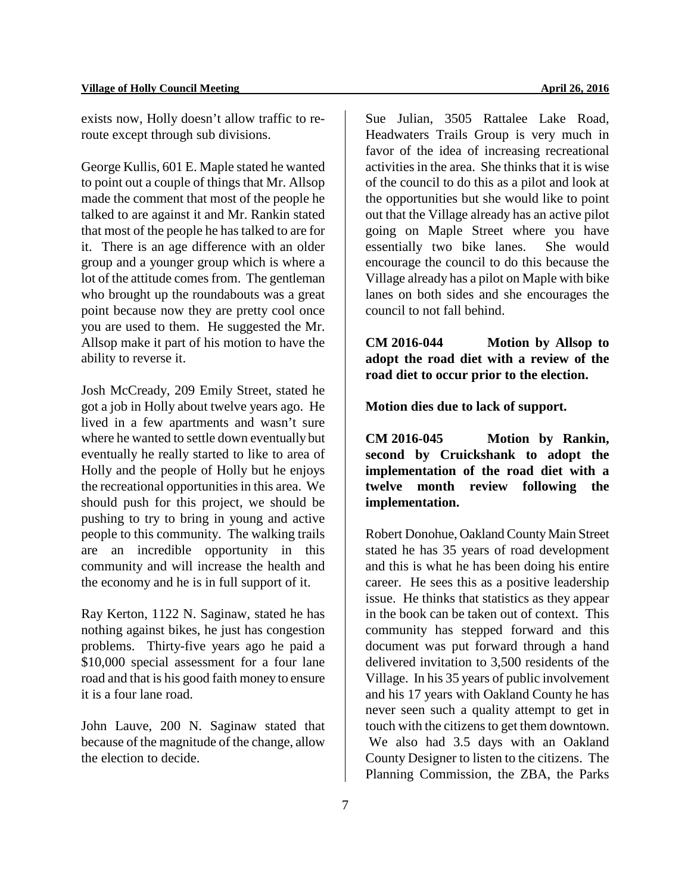exists now, Holly doesn't allow traffic to reroute except through sub divisions.

George Kullis, 601 E. Maple stated he wanted to point out a couple of things that Mr. Allsop made the comment that most of the people he talked to are against it and Mr. Rankin stated that most of the people he has talked to are for it. There is an age difference with an older group and a younger group which is where a lot of the attitude comes from. The gentleman who brought up the roundabouts was a great point because now they are pretty cool once you are used to them. He suggested the Mr. Allsop make it part of his motion to have the ability to reverse it.

Josh McCready, 209 Emily Street, stated he got a job in Holly about twelve years ago. He lived in a few apartments and wasn't sure where he wanted to settle down eventually but eventually he really started to like to area of Holly and the people of Holly but he enjoys the recreational opportunities in this area. We should push for this project, we should be pushing to try to bring in young and active people to this community. The walking trails are an incredible opportunity in this community and will increase the health and the economy and he is in full support of it.

Ray Kerton, 1122 N. Saginaw, stated he has nothing against bikes, he just has congestion problems. Thirty-five years ago he paid a \$10,000 special assessment for a four lane road and that is his good faith money to ensure it is a four lane road.

John Lauve, 200 N. Saginaw stated that because of the magnitude of the change, allow the election to decide.

Sue Julian, 3505 Rattalee Lake Road, Headwaters Trails Group is very much in favor of the idea of increasing recreational activities in the area. She thinks that it is wise of the council to do this as a pilot and look at the opportunities but she would like to point out that the Village already has an active pilot going on Maple Street where you have essentially two bike lanes. She would encourage the council to do this because the Village already has a pilot on Maple with bike lanes on both sides and she encourages the council to not fall behind.

**CM 2016-044 Motion by Allsop to adopt the road diet with a review of the road diet to occur prior to the election.**

**Motion dies due to lack of support.**

**CM 2016-045 Motion by Rankin, second by Cruickshank to adopt the implementation of the road diet with a twelve month review following the implementation.** 

Robert Donohue, Oakland County Main Street stated he has 35 years of road development and this is what he has been doing his entire career. He sees this as a positive leadership issue. He thinks that statistics as they appear in the book can be taken out of context. This community has stepped forward and this document was put forward through a hand delivered invitation to 3,500 residents of the Village. In his 35 years of public involvement and his 17 years with Oakland County he has never seen such a quality attempt to get in touch with the citizens to get them downtown. We also had 3.5 days with an Oakland County Designer to listen to the citizens. The Planning Commission, the ZBA, the Parks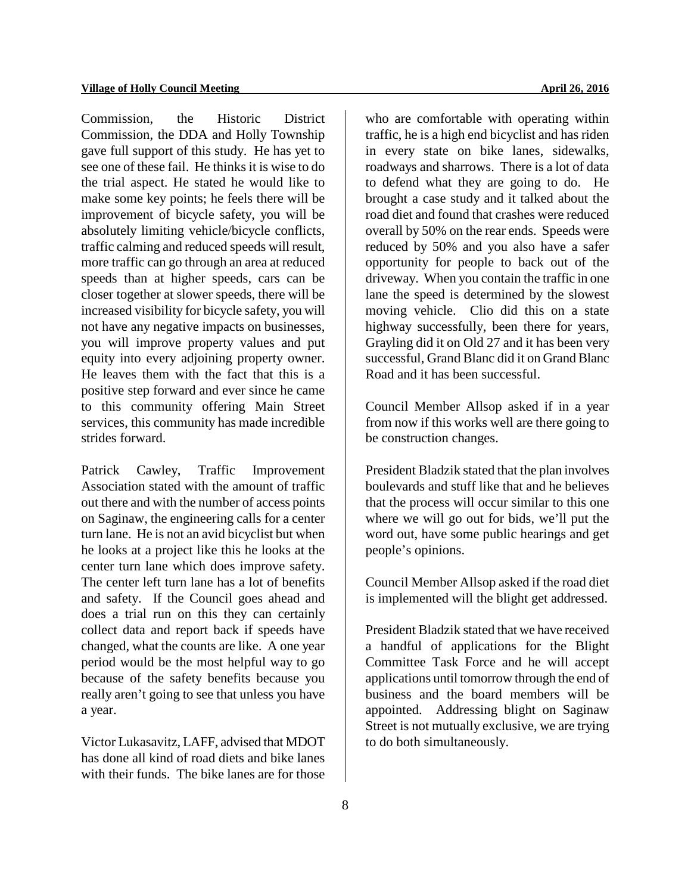Commission, the Historic District Commission, the DDA and Holly Township gave full support of this study. He has yet to see one of these fail. He thinks it is wise to do the trial aspect. He stated he would like to make some key points; he feels there will be improvement of bicycle safety, you will be absolutely limiting vehicle/bicycle conflicts, traffic calming and reduced speeds will result, more traffic can go through an area at reduced speeds than at higher speeds, cars can be closer together at slower speeds, there will be increased visibility for bicycle safety, you will not have any negative impacts on businesses, you will improve property values and put equity into every adjoining property owner. He leaves them with the fact that this is a positive step forward and ever since he came to this community offering Main Street services, this community has made incredible strides forward.

Patrick Cawley, Traffic Improvement Association stated with the amount of traffic out there and with the number of access points on Saginaw, the engineering calls for a center turn lane. He is not an avid bicyclist but when he looks at a project like this he looks at the center turn lane which does improve safety. The center left turn lane has a lot of benefits and safety. If the Council goes ahead and does a trial run on this they can certainly collect data and report back if speeds have changed, what the counts are like. A one year period would be the most helpful way to go because of the safety benefits because you really aren't going to see that unless you have a year.

Victor Lukasavitz, LAFF, advised that MDOT has done all kind of road diets and bike lanes with their funds. The bike lanes are for those who are comfortable with operating within traffic, he is a high end bicyclist and has riden in every state on bike lanes, sidewalks, roadways and sharrows. There is a lot of data to defend what they are going to do. He brought a case study and it talked about the road diet and found that crashes were reduced overall by 50% on the rear ends. Speeds were reduced by 50% and you also have a safer opportunity for people to back out of the driveway. When you contain the traffic in one lane the speed is determined by the slowest moving vehicle. Clio did this on a state highway successfully, been there for years, Grayling did it on Old 27 and it has been very successful, Grand Blanc did it on Grand Blanc Road and it has been successful.

Council Member Allsop asked if in a year from now if this works well are there going to be construction changes.

President Bladzik stated that the plan involves boulevards and stuff like that and he believes that the process will occur similar to this one where we will go out for bids, we'll put the word out, have some public hearings and get people's opinions.

Council Member Allsop asked if the road diet is implemented will the blight get addressed.

President Bladzik stated that we have received a handful of applications for the Blight Committee Task Force and he will accept applications until tomorrow through the end of business and the board members will be appointed. Addressing blight on Saginaw Street is not mutually exclusive, we are trying to do both simultaneously.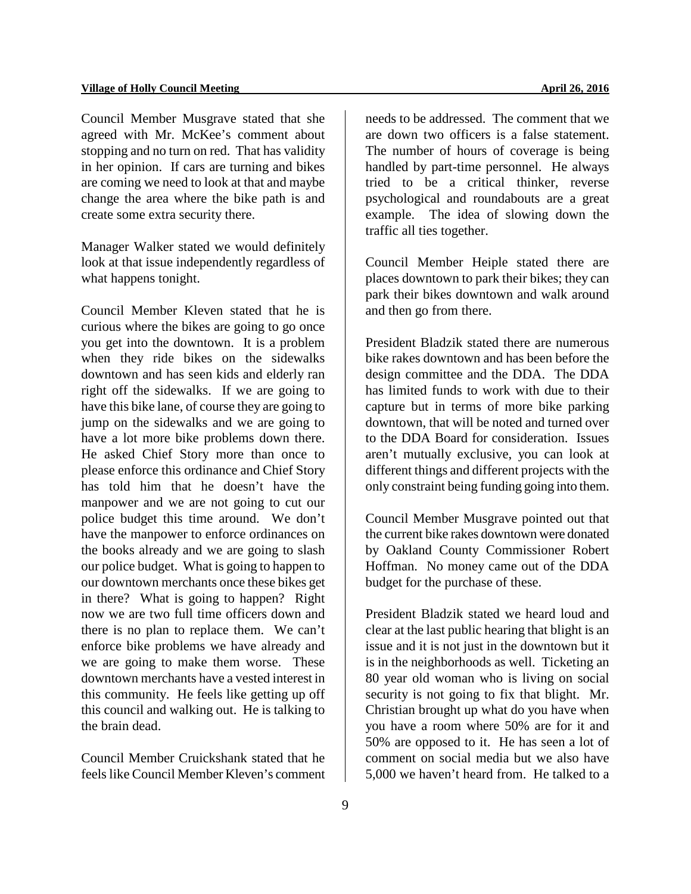Council Member Musgrave stated that she agreed with Mr. McKee's comment about stopping and no turn on red. That has validity in her opinion. If cars are turning and bikes are coming we need to look at that and maybe change the area where the bike path is and create some extra security there.

Manager Walker stated we would definitely look at that issue independently regardless of what happens tonight.

Council Member Kleven stated that he is curious where the bikes are going to go once you get into the downtown. It is a problem when they ride bikes on the sidewalks downtown and has seen kids and elderly ran right off the sidewalks. If we are going to have this bike lane, of course they are going to jump on the sidewalks and we are going to have a lot more bike problems down there. He asked Chief Story more than once to please enforce this ordinance and Chief Story has told him that he doesn't have the manpower and we are not going to cut our police budget this time around. We don't have the manpower to enforce ordinances on the books already and we are going to slash our police budget. What is going to happen to our downtown merchants once these bikes get in there? What is going to happen? Right now we are two full time officers down and there is no plan to replace them. We can't enforce bike problems we have already and we are going to make them worse. These downtown merchants have a vested interest in this community. He feels like getting up off this council and walking out. He is talking to the brain dead.

Council Member Cruickshank stated that he feels like Council Member Kleven's comment needs to be addressed. The comment that we are down two officers is a false statement. The number of hours of coverage is being handled by part-time personnel. He always tried to be a critical thinker, reverse psychological and roundabouts are a great example. The idea of slowing down the traffic all ties together.

Council Member Heiple stated there are places downtown to park their bikes; they can park their bikes downtown and walk around and then go from there.

President Bladzik stated there are numerous bike rakes downtown and has been before the design committee and the DDA. The DDA has limited funds to work with due to their capture but in terms of more bike parking downtown, that will be noted and turned over to the DDA Board for consideration. Issues aren't mutually exclusive, you can look at different things and different projects with the only constraint being funding going into them.

Council Member Musgrave pointed out that the current bike rakes downtown were donated by Oakland County Commissioner Robert Hoffman. No money came out of the DDA budget for the purchase of these.

President Bladzik stated we heard loud and clear at the last public hearing that blight is an issue and it is not just in the downtown but it is in the neighborhoods as well. Ticketing an 80 year old woman who is living on social security is not going to fix that blight. Mr. Christian brought up what do you have when you have a room where 50% are for it and 50% are opposed to it. He has seen a lot of comment on social media but we also have 5,000 we haven't heard from. He talked to a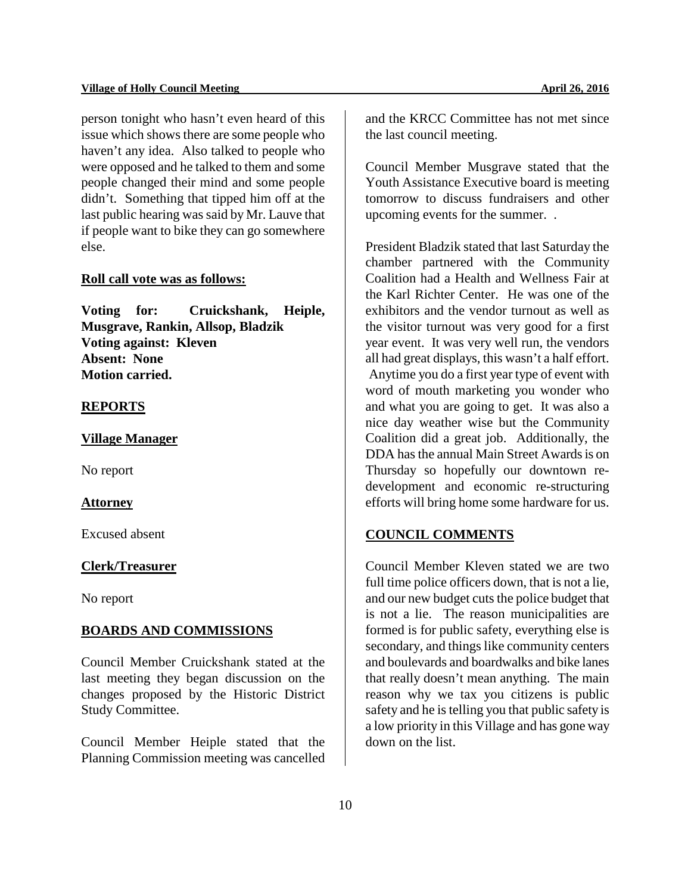person tonight who hasn't even heard of this issue which shows there are some people who haven't any idea. Also talked to people who were opposed and he talked to them and some people changed their mind and some people didn't. Something that tipped him off at the last public hearing was said by Mr. Lauve that if people want to bike they can go somewhere else.

## **Roll call vote was as follows:**

**Voting for: Cruickshank, Heiple, Musgrave, Rankin, Allsop, Bladzik Voting against: Kleven Absent: None Motion carried.** 

#### **REPORTS**

#### **Village Manager**

No report

#### **Attorney**

Excused absent

## **Clerk/Treasurer**

No report

#### **BOARDS AND COMMISSIONS**

Council Member Cruickshank stated at the last meeting they began discussion on the changes proposed by the Historic District Study Committee.

Council Member Heiple stated that the Planning Commission meeting was cancelled

and the KRCC Committee has not met since the last council meeting.

Council Member Musgrave stated that the Youth Assistance Executive board is meeting tomorrow to discuss fundraisers and other upcoming events for the summer. .

President Bladzik stated that last Saturday the chamber partnered with the Community Coalition had a Health and Wellness Fair at the Karl Richter Center. He was one of the exhibitors and the vendor turnout as well as the visitor turnout was very good for a first year event. It was very well run, the vendors all had great displays, this wasn't a half effort. Anytime you do a first year type of event with word of mouth marketing you wonder who and what you are going to get. It was also a nice day weather wise but the Community Coalition did a great job. Additionally, the DDA has the annual Main Street Awards is on Thursday so hopefully our downtown redevelopment and economic re-structuring efforts will bring home some hardware for us.

## **COUNCIL COMMENTS**

Council Member Kleven stated we are two full time police officers down, that is not a lie, and our new budget cuts the police budget that is not a lie. The reason municipalities are formed is for public safety, everything else is secondary, and things like community centers and boulevards and boardwalks and bike lanes that really doesn't mean anything. The main reason why we tax you citizens is public safety and he is telling you that public safety is a low priority in this Village and has gone way down on the list.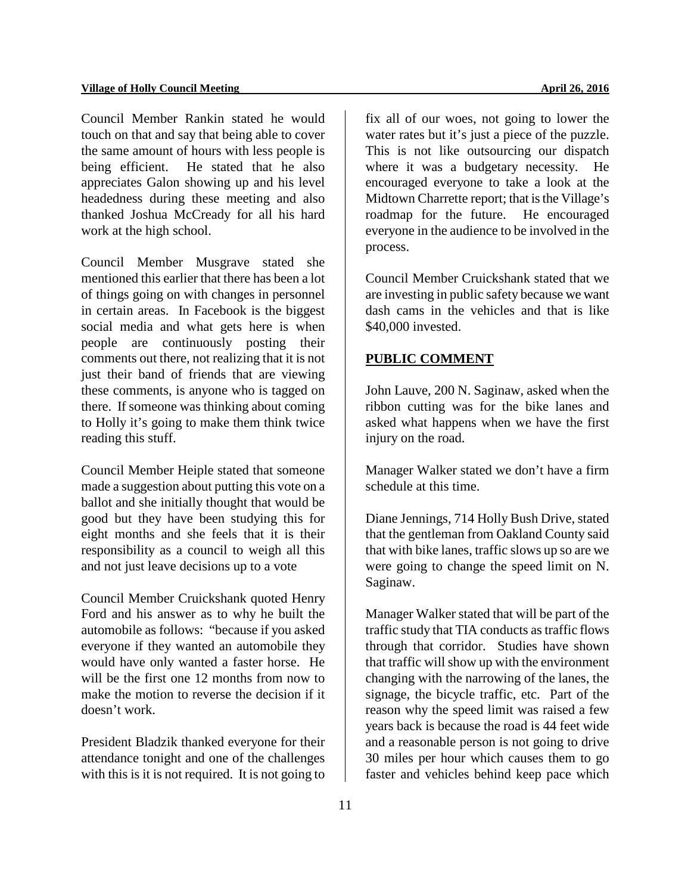Council Member Rankin stated he would touch on that and say that being able to cover the same amount of hours with less people is being efficient. He stated that he also appreciates Galon showing up and his level headedness during these meeting and also thanked Joshua McCready for all his hard work at the high school.

Council Member Musgrave stated she mentioned this earlier that there has been a lot of things going on with changes in personnel in certain areas. In Facebook is the biggest social media and what gets here is when people are continuously posting their comments out there, not realizing that it is not just their band of friends that are viewing these comments, is anyone who is tagged on there. If someone was thinking about coming to Holly it's going to make them think twice reading this stuff.

Council Member Heiple stated that someone made a suggestion about putting this vote on a ballot and she initially thought that would be good but they have been studying this for eight months and she feels that it is their responsibility as a council to weigh all this and not just leave decisions up to a vote

Council Member Cruickshank quoted Henry Ford and his answer as to why he built the automobile as follows: "because if you asked everyone if they wanted an automobile they would have only wanted a faster horse. He will be the first one 12 months from now to make the motion to reverse the decision if it doesn't work.

President Bladzik thanked everyone for their attendance tonight and one of the challenges with this is it is not required. It is not going to fix all of our woes, not going to lower the water rates but it's just a piece of the puzzle. This is not like outsourcing our dispatch where it was a budgetary necessity. He encouraged everyone to take a look at the Midtown Charrette report; that is the Village's roadmap for the future. He encouraged everyone in the audience to be involved in the process.

Council Member Cruickshank stated that we are investing in public safety because we want dash cams in the vehicles and that is like \$40,000 invested.

## **PUBLIC COMMENT**

John Lauve, 200 N. Saginaw, asked when the ribbon cutting was for the bike lanes and asked what happens when we have the first injury on the road.

Manager Walker stated we don't have a firm schedule at this time.

Diane Jennings, 714 Holly Bush Drive, stated that the gentleman from Oakland County said that with bike lanes, traffic slows up so are we were going to change the speed limit on N. Saginaw.

Manager Walker stated that will be part of the traffic study that TIA conducts as traffic flows through that corridor. Studies have shown that traffic will show up with the environment changing with the narrowing of the lanes, the signage, the bicycle traffic, etc. Part of the reason why the speed limit was raised a few years back is because the road is 44 feet wide and a reasonable person is not going to drive 30 miles per hour which causes them to go faster and vehicles behind keep pace which